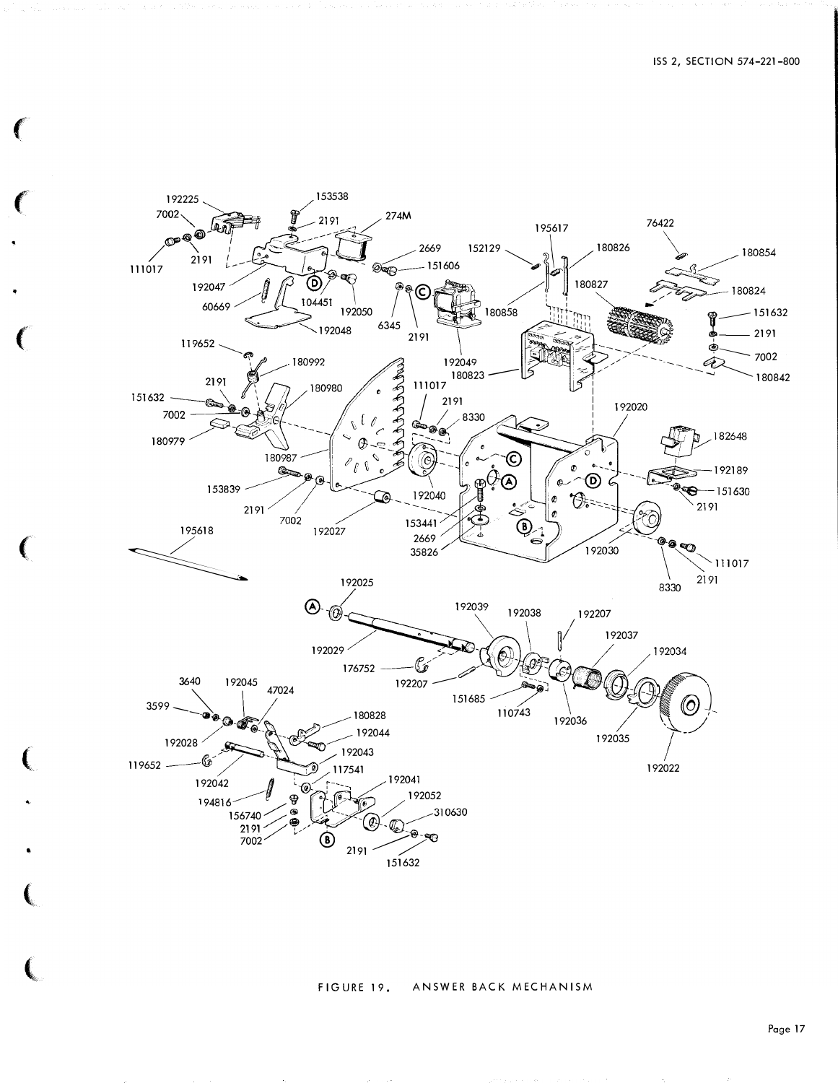

## FIGURE 19. ANSWER BACK MECHANISM